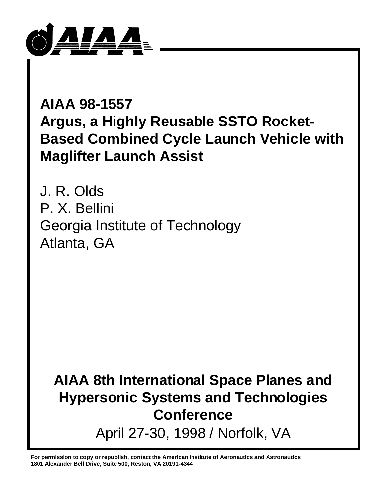

**AIAA 98-1557 Argus, a Highly Reusable SSTO Rocket-Based Combined Cycle Launch Vehicle with Maglifter Launch Assist**

J. R. Olds P. X. Bellini Georgia Institute of Technology Atlanta, GA

**AIAA 8th International Space Planes and Hypersonic Systems and Technologies Conference** April 27-30, 1998 / Norfolk, VA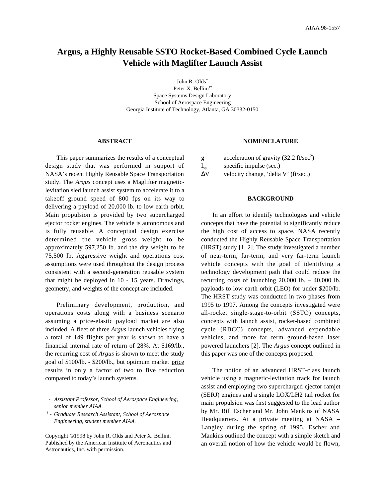# **Argus, a Highly Reusable SSTO Rocket-Based Combined Cycle Launch Vehicle with Maglifter Launch Assist**

John R. Olds† Peter X. Bellini†† Space Systems Design Laboratory School of Aerospace Engineering Georgia Institute of Technology, Atlanta, GA 30332-0150

## **ABSTRACT**

This paper summarizes the results of a conceptual design study that was performed in support of NASA's recent Highly Reusable Space Transportation study. The *Argus* concept uses a Maglifter magneticlevitation sled launch assist system to accelerate it to a takeoff ground speed of 800 fps on its way to delivering a payload of 20,000 lb. to low earth orbit. Main propulsion is provided by two supercharged ejector rocket engines. The vehicle is autonomous and is fully reusable. A conceptual design exercise determined the vehicle gross weight to be approximately 597,250 lb. and the dry weight to be 75,500 lb. Aggressive weight and operations cost assumptions were used throughout the design process consistent with a second-generation reusable system that might be deployed in 10 - 15 years. Drawings, geometry, and weights of the concept are included.

Preliminary development, production, and operations costs along with a business scenario assuming a price-elastic payload market are also included. A fleet of three *Argus* launch vehicles flying a total of 149 flights per year is shown to have a financial internal rate of return of 28%. At \$169/lb., the recurring cost of *Argus* is shown to meet the study goal of \$100/lb. - \$200/lb., but optimum market price results in only a factor of two to five reduction compared to today's launch systems.

#### **NOMENCLATURE**

g acceleration of gravity  $(32.2 \text{ ft/sec}^2)$  $I_{sp}$  specific impulse (sec.) ∆V velocity change, 'delta V' (ft/sec.)

## **BACKGROUND**

In an effort to identify technologies and vehicle concepts that have the potential to significantly reduce the high cost of access to space, NASA recently conducted the Highly Reusable Space Transportation (HRST) study [1, 2]. The study investigated a number of near-term, far-term, and very far-term launch vehicle concepts with the goal of identifying a technology development path that could reduce the recurring costs of launching 20,000 lb. – 40,000 lb. payloads to low earth orbit (LEO) for under \$200/lb. The HRST study was conducted in two phases from 1995 to 1997. Among the concepts investigated were all-rocket single-stage-to-orbit (SSTO) concepts, concepts with launch assist, rocket-based combined cycle (RBCC) concepts, advanced expendable vehicles, and more far term ground-based laser powered launchers [2]. The *Argus* concept outlined in this paper was one of the concepts proposed.

The notion of an advanced HRST-class launch vehicle using a magnetic-levitation track for launch assist and employing two supercharged ejector ramjet (SERJ) engines and a single LOX/LH2 tail rocket for main propulsion was first suggested to the lead author by Mr. Bill Escher and Mr. John Mankins of NASA Headquarters. At a private meeting at NASA – Langley during the spring of 1995, Escher and Mankins outlined the concept with a simple sketch and an overall notion of how the vehicle would be flown,

<sup>†</sup>  *- Assistant Professor, School of Aerospace Engineering, senior member AIAA.*

<sup>††</sup> *- Graduate Research Assistant, School of Aerospace Engineering, student member AIAA.*

Copyright ©1998 by John R. Olds and Peter X. Bellini. Published by the American Institute of Aeronautics and Astronautics, Inc. with permission.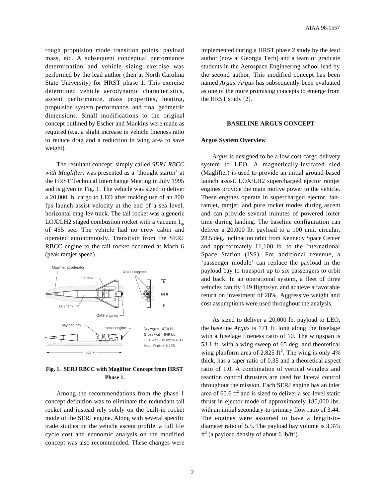rough propulsion mode transition points, payload mass, etc. A subsequent conceptual performance determination and vehicle sizing exercise was performed by the lead author (then at North Carolina State University) for HRST phase 1. This exercise determined vehicle aerodynamic characteristics, ascent performance, mass properties, heating, propulsion system performance, and final geometric dimensions. Small modifications to the original concept outlined by Escher and Mankins were made as required (e.g. a slight increase in vehicle fineness ratio to reduce drag and a reduction in wing area to save weight).

The resultant concept, simply called *SERJ RBCC with Maglifter*, was presented as a 'thought starter' at the HRST Technical Interchange Meeting in July 1995 and is given in Fig. 1. The vehicle was sized to deliver a 20,000 lb. cargo to LEO after making use of an 800 fps launch assist velocity at the end of a sea level, horizontal mag-lev track. The tail rocket was a generic LOX/LH2 staged combustion rocket with a vacuum  $I_{\rm{sn}}$ of 455 sec. The vehicle had no crew cabin and operated autonomously. Transition from the SERJ RBCC engine to the tail rocket occurred at Mach 6 (peak ramjet speed).



**Fig. 1. SERJ RBCC with Maglifter Concept from HRST Phase 1.**

Among the recommendations from the phase 1 concept definition was to eliminate the redundant tail rocket and instead rely solely on the built-in rocket mode of the SERJ engine. Along with several specific trade studies on the vehicle ascent profile, a full life cycle cost and economic analysis on the modified concept was also recommended. These changes were

implemented during a HRST phase 2 study by the lead author (now at Georgia Tech) and a team of graduate students in the Aerospace Engineering school lead by the second author. This modified concept has been named *Argus*. *Argus* has subsequently been evaluated as one of the more promising concepts to emerge from the HRST study [2].

#### **BASELINE ARGUS CONCEPT**

#### **Argus System Overview**

*Argus* is designed to be a low cost cargo delivery system to LEO. A magnetically-levitated sled (Maglifter) is used to provide an initial ground-based launch assist. LOX/LH2 supercharged ejector ramjet engines provide the main motive power to the vehicle. These engines operate in supercharged ejector, fanramjet, ramjet, and pure rocket modes during ascent and can provide several minutes of powered loiter time during landing. The baseline configuration can deliver a 20,000 lb. payload to a 100 nmi. circular, 28.5 deg. inclination orbit from Kennedy Space Center and approximately 11,100 lb. to the International Space Station (ISS). For additional revenue, a 'passenger module' can replace the payload in the payload bay to transport up to six passengers to orbit and back. In an operational system, a fleet of three vehicles can fly 149 flights/yr. and achieve a favorable return on investment of 28%. Aggressive weight and cost assumptions were used throughout the analysis.

As sized to deliver a 20,000 lb. payload to LEO, the baseline *Argus* is 171 ft. long along the fuselage with a fuselage fineness ratio of 10. The wingspan is 53.1 ft. with a wing sweep of 65 deg. and theoretical wing planform area of 2,825 ft<sup>2</sup>. The wing is only 4% thick, has a taper ratio of 0.35 and a theoretical aspect ratio of 1.0. A combination of vertical winglets and reaction control thrusters are used for lateral control throughout the mission. Each SERJ engine has an inlet area of  $60.6 \text{ ft}^2$  and is sized to deliver a sea-level static thrust in ejector mode of approximately 180,000 lbs. with an initial secondary-to-primary flow ratio of 3.44. The engines were assumed to have a length-todiameter ratio of 5.5. The payload bay volume is 3,375 ft<sup>3</sup> (a payload density of about 6 lb/ft<sup>3</sup>).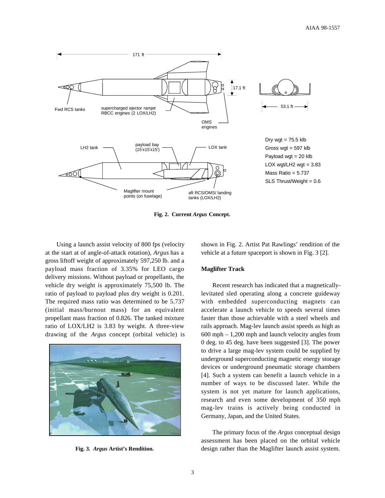

**Fig. 2. Current** *Argus* **Concept.**

Using a launch assist velocity of 800 fps (velocity at the start at of angle-of-attack rotation), *Argus* has a gross liftoff weight of approximately 597,250 lb. and a payload mass fraction of 3.35% for LEO cargo delivery missions. Without payload or propellants, the vehicle dry weight is approximately 75,500 lb. The ratio of payload to payload plus dry weight is 0.201. The required mass ratio was determined to be 5.737 (initial mass/burnout mass) for an equivalent propellant mass fraction of 0.826. The tanked mixture ratio of LOX/LH2 is 3.83 by weight. A three-view drawing of the *Argus* concept (orbital vehicle) is



**Fig. 3.** *Argus* **Artist's Rendition.**

shown in Fig. 2. Artist Pat Rawlings' rendition of the vehicle at a future spaceport is shown in Fig. 3 [2].

# **Maglifter Track**

Recent research has indicated that a magneticallylevitated sled operating along a concrete guideway with embedded superconducting magnets can accelerate a launch vehicle to speeds several times faster than those achievable with a steel wheels and rails approach. Mag-lev launch assist speeds as high as 600 mph – 1,200 mph and launch velocity angles from 0 deg. to 45 deg. have been suggested [3]. The power to drive a large mag-lev system could be supplied by underground superconducting magnetic energy storage devices or underground pneumatic storage chambers [4]. Such a system can benefit a launch vehicle in a number of ways to be discussed later. While the system is not yet mature for launch applications, research and even some development of 350 mph mag-lev trains is actively being conducted in Germany, Japan, and the United States.

The primary focus of the *Argus* conceptual design assessment has been placed on the orbital vehicle design rather than the Maglifter launch assist system.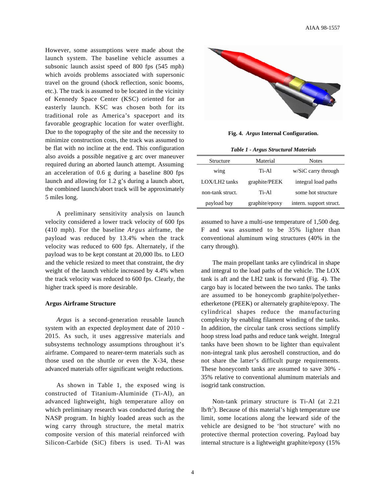However, some assumptions were made about the launch system. The baseline vehicle assumes a subsonic launch assist speed of 800 fps (545 mph) which avoids problems associated with supersonic travel on the ground (shock reflection, sonic booms, etc.). The track is assumed to be located in the vicinity of Kennedy Space Center (KSC) oriented for an easterly launch. KSC was chosen both for its traditional role as America's spaceport and its favorable geographic location for water overflight. Due to the topography of the site and the necessity to minimize construction costs, the track was assumed to be flat with no incline at the end. This configuration also avoids a possible negative g arc over maneuver required during an aborted launch attempt. Assuming an acceleration of 0.6 g during a baseline 800 fps launch and allowing for 1.2 g's during a launch abort, the combined launch/abort track will be approximately 5 miles long.

A preliminary sensitivity analysis on launch velocity considered a lower track velocity of 600 fps (410 mph). For the baseline *Argus* airframe, the payload was reduced by 13.4% when the track velocity was reduced to 600 fps. Alternately, if the payload was to be kept constant at 20,000 lbs. to LEO and the vehicle resized to meet that constraint, the dry weight of the launch vehicle increased by 4.4% when the track velocity was reduced to 600 fps. Clearly, the higher track speed is more desirable.

#### **Argus Airframe Structure**

*Argus* is a second-generation reusable launch system with an expected deployment date of 2010 - 2015. As such, it uses aggressive materials and subsystems technology assumptions throughout it's airframe. Compared to nearer-term materials such as those used on the shuttle or even the X-34, these advanced materials offer significant weight reductions.

As shown in Table 1, the exposed wing is constructed of Titanium-Aluminide (Ti-Al), an advanced lightweight, high temperature alloy on which preliminary research was conducted during the NASP program. In highly loaded areas such as the wing carry through structure, the metal matrix composite version of this material reinforced with Silicon-Carbide (SiC) fibers is used. Ti-Al was



**Fig. 4.** *Argus* **Internal Configuration.**

*Table 1 - Argus Structural Materials*

| Structure        | Material       | <b>Notes</b>            |  |
|------------------|----------------|-------------------------|--|
| wing             | Ti-Al          | $w/SiC$ carry through   |  |
| LOX/LH2 tanks    | graphite/PEEK  | integral load paths     |  |
| non-tank struct. | Ti-Al          | some hot structure      |  |
| payload bay      | graphite/epoxy | intern. support struct. |  |

assumed to have a multi-use temperature of 1,500 deg. F and was assumed to be 35% lighter than conventional aluminum wing structures (40% in the carry through).

The main propellant tanks are cylindrical in shape and integral to the load paths of the vehicle. The LOX tank is aft and the LH2 tank is forward (Fig. 4). The cargo bay is located between the two tanks. The tanks are assumed to be honeycomb graphite/polyetheretherketone (PEEK) or alternately graphite/epoxy. The cylindrical shapes reduce the manufacturing complexity by enabling filament winding of the tanks. In addition, the circular tank cross sections simplify hoop stress load paths and reduce tank weight. Integral tanks have been shown to be lighter than equivalent non-integral tank plus aeroshell construction, and do not share the latter's difficult purge requirements. These honeycomb tanks are assumed to save 30% - 35% relative to conventional aluminum materials and isogrid tank construction.

Non-tank primary structure is Ti-Al (at 2.21  $lb/ft<sup>2</sup>)$ . Because of this material's high temperature use limit, some locations along the leeward side of the vehicle are designed to be 'hot structure' with no protective thermal protection covering. Payload bay internal structure is a lightweight graphite/epoxy (15%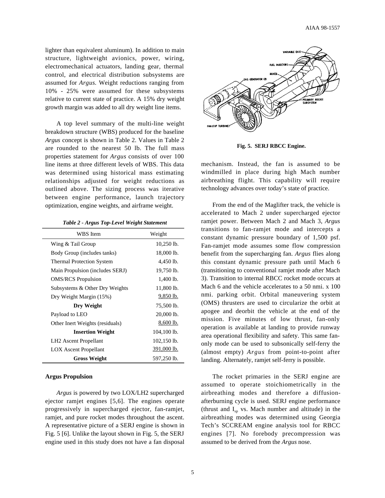lighter than equivalent aluminum). In addition to main structure, lightweight avionics, power, wiring, electromechanical actuators, landing gear, thermal control, and electrical distribution subsystems are assumed for *Argus*. Weight reductions ranging from 10% - 25% were assumed for these subsystems relative to current state of practice. A 15% dry weight growth margin was added to all dry weight line items.

A top level summary of the multi-line weight breakdown structure (WBS) produced for the baseline *Argus* concept is shown in Table 2. Values in Table 2 are rounded to the nearest 50 lb. The full mass properties statement for *Argus* consists of over 100 line items at three different levels of WBS. This data was determined using historical mass estimating relationships adjusted for weight reductions as outlined above. The sizing process was iterative between engine performance, launch trajectory optimization, engine weights, and airframe weight.

| Table 2 - Argus Top-Level Weight Statement |  |  |  |
|--------------------------------------------|--|--|--|
|--------------------------------------------|--|--|--|

| WBS Item                          | Weight        |
|-----------------------------------|---------------|
| Wing & Tail Group                 | $10,250$ lb.  |
| Body Group (includes tanks)       | 18,000 lb.    |
| <b>Thermal Protection System</b>  | 4,450 lb.     |
| Main Propulsion (includes SERJ)   | 19,750 lb.    |
| <b>OMS/RCS</b> Propulsion         | $1,400$ lb.   |
| Subsystems & Other Dry Weights    | 11,800 lb.    |
| Dry Weight Margin (15%)           | 9,850 lb.     |
| Dry Weight                        | 75,500 lb.    |
| Payload to LEO                    | 20,000 lb.    |
| Other Inert Weights (residuals)   | 8,600 lb.     |
| <b>Insertion Weight</b>           | 104,100 lb.   |
| LH <sub>2</sub> Ascent Propellant | $102,150$ lb. |
| <b>LOX</b> Ascent Propellant      | 391,000 lb.   |
| <b>Gross Weight</b>               | 597,250 lb.   |

## **Argus Propulsion**

*Argus* is powered by two LOX/LH2 supercharged ejector ramjet engines [5,6]. The engines operate progressively in supercharged ejector, fan-ramjet, ramjet, and pure rocket modes throughout the ascent. A representative picture of a SERJ engine is shown in Fig. 5 [6]. Unlike the layout shown in Fig. 5, the SERJ engine used in this study does not have a fan disposal



**Fig. 5. SERJ RBCC Engine.**

mechanism. Instead, the fan is assumed to be windmilled in place during high Mach number airbreathing flight. This capability will require technology advances over today's state of practice.

From the end of the Maglifter track, the vehicle is accelerated to Mach 2 under supercharged ejector ramjet power. Between Mach 2 and Mach 3, *Argus* transitions to fan-ramjet mode and intercepts a constant dynamic pressure boundary of 1,500 psf. Fan-ramjet mode assumes some flow compression benefit from the supercharging fan. *Argus* flies along this constant dynamic pressure path until Mach 6 (transitioning to conventional ramjet mode after Mach 3). Transition to internal RBCC rocket mode occurs at Mach 6 and the vehicle accelerates to a 50 nmi. x 100 nmi. parking orbit. Orbital maneuvering system (OMS) thrusters are used to circularize the orbit at apogee and deorbit the vehicle at the end of the mission. Five minutes of low thrust, fan-only operation is available at landing to provide runway area operational flexibility and safety. This same fanonly mode can be used to subsonically self-ferry the (almost empty) *Argus* from point-to-point after landing. Alternately, ramjet self-ferry is possible.

The rocket primaries in the SERJ engine are assumed to operate stoichiometrically in the airbreathing modes and therefore a diffusionafterburning cycle is used. SERJ engine performance (thrust and  $I_{sn}$  vs. Mach number and altitude) in the airbreathing modes was determined using Georgia Tech's SCCREAM engine analysis tool for RBCC engines [7]. No forebody precompression was assumed to be derived from the *Argus* nose.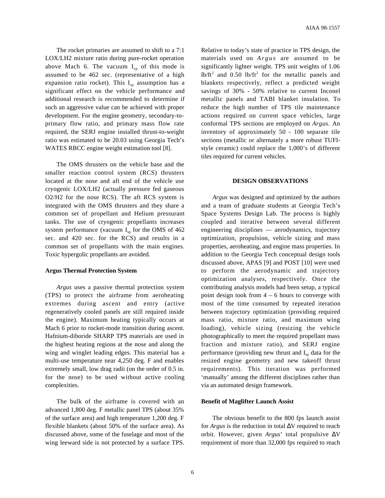AIAA 98-1557

The rocket primaries are assumed to shift to a 7:1 LOX/LH2 mixture ratio during pure-rocket operation above Mach 6. The vacuum  $I_{sp}$  of this mode is assumed to be 462 sec. (representative of a high expansion ratio rocket). This  $I_{sp}$  assumption has a significant effect on the vehicle performance and additional research is recommended to determine if such an aggressive value can be achieved with proper development. For the engine geometry, secondary-toprimary flow ratio, and primary mass flow rate required, the SERJ engine installed thrust-to-weight ratio was estimated to be 20.03 using Georgia Tech's WATES RBCC engine weight estimation tool [8].

The OMS thrusters on the vehicle base and the smaller reaction control system (RCS) thrusters located at the nose and aft end of the vehicle use cryogenic LOX/LH2 (actually pressure fed gaseous O2/H2 for the nose RCS). The aft RCS system is integrated with the OMS thrusters and they share a common set of propellant and Helium pressurant tanks. The use of cryogenic propellants increases system performance (vacuum  $I_{\rm sn}$  for the OMS of 462 sec. and 420 sec. for the RCS) and results in a common set of propellants with the main engines. Toxic hypergolic propellants are avoided.

#### **Argus Thermal Protection System**

*Argus* uses a passive thermal protection system (TPS) to protect the airframe from aeroheating extremes during ascent and entry (active regeneratively cooled panels are still required inside the engine). Maximum heating typically occurs at Mach 6 prior to rocket-mode transition during ascent. Hafnium-diboride SHARP TPS materials are used in the highest heating regions at the nose and along the wing and winglet leading edges. This material has a multi-use temperature near 4,250 deg. F and enables extremely small, low drag radii (on the order of 0.5 in. for the nose) to be used without active cooling complexities.

The bulk of the airframe is covered with an advanced 1,800 deg. F metallic panel TPS (about 35% of the surface area) and high temperature 1,200 deg. F flexible blankets (about 50% of the surface area). As discussed above, some of the fuselage and most of the wing leeward side is not protected by a surface TPS. Relative to today's state of practice in TPS design, the materials used on *Argus* are assumed to be significantly lighter weight. TPS unit weights of 1.06  $lb/ft<sup>2</sup>$  and 0.50 lb/ft<sup>2</sup> for the metallic panels and blankets respectively, reflect a predicted weight savings of 30% - 50% relative to current Inconel metallic panels and TABI blanket insulation. To reduce the high number of TPS tile maintenance actions required on current space vehicles, large conformal TPS sections are employed on *Argus*. An inventory of approximately 50 - 100 separate tile sections (metallic or alternately a more robust TUFIstyle ceramic) could replace the 1,000's of different tiles required for current vehicles.

#### **DESIGN OBSERVATIONS**

*Argus* was designed and optimized by the authors and a team of graduate students at Georgia Tech's Space Systems Design Lab. The process is highly coupled and iterative between several different engineering disciplines — aerodynamics, trajectory optimization, propulsion, vehicle sizing and mass properties, aeroheating, and engine mass properties. In addition to the Georgia Tech conceptual design tools discussed above, APAS [9] and POST [10] were used to perform the aerodynamic and trajectory optimization analyses, respectively. Once the contributing analysis models had been setup, a typical point design took from  $4 - 6$  hours to converge with most of the time consumed by repeated iteration between trajectory optimization (providing required mass ratio, mixture ratio, and maximum wing loading), vehicle sizing (resizing the vehicle photographically to meet the required propellant mass fraction and mixture ratio), and SERJ engine performance (providing new thrust and  $I_{\rm sn}$  data for the resized engine geometry and new takeoff thrust requirements). This iteration was performed 'manually' among the different disciplines rather than via an automated design framework.

## **Benefit of Maglifter Launch Assist**

The obvious benefit to the 800 fps launch assist for *Argus* is the reduction in total ∆V required to reach orbit. However, given *Argus*' total propulsive ∆V requirement of more than 32,000 fps required to reach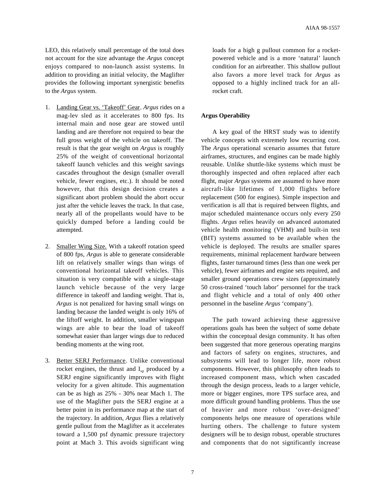LEO, this relatively small percentage of the total does not account for the size advantage the *Argus* concept enjoys compared to non-launch assist systems. In addition to providing an initial velocity, the Maglifter provides the following important synergistic benefits to the *Argus* system.

- 1. Landing Gear vs. 'Takeoff' Gear . *Argus* rides on a mag-lev sled as it accelerates to 800 fps. Its internal main and nose gear are stowed until landing and are therefore not required to bear the full gross weight of the vehicle on takeoff. The result is that the gear weight on *Argus* is roughly 25% of the weight of conventional horizontal takeoff launch vehicles and this weight savings cascades throughout the design (smaller overall vehicle, fewer engines, etc.). It should be noted however, that this design decision creates a significant abort problem should the abort occur just after the vehicle leaves the track. In that case, nearly all of the propellants would have to be quickly dumped before a landing could be attempted.
- 2. Smaller Wing Size. With a takeoff rotation speed of 800 fps, *Argus* is able to generate considerable lift on relatively smaller wings than wings of conventional horizontal takeoff vehicles. This situation is very compatible with a single-stage launch vehicle because of the very large difference in takeoff and landing weight. That is, *Argus* is not penalized for having small wings on landing because the landed weight is only 16% of the liftoff weight. In addition, smaller wingspan wings are able to bear the load of takeoff somewhat easier than larger wings due to reduced bending moments at the wing root.
- 3. Better SERJ Performance. Unlike conventional rocket engines, the thrust and  $I_{sp}$  produced by a SERJ engine significantly improves with flight velocity for a given altitude. This augmentation can be as high as 25% - 30% near Mach 1. The use of the Maglifter puts the SERJ engine at a better point in its performance map at the start of the trajectory. In addition, *Argus* flies a relatively gentle pullout from the Maglifter as it accelerates toward a 1,500 psf dynamic pressure trajectory point at Mach 3. This avoids significant wing

loads for a high g pullout common for a rocketpowered vehicle and is a more 'natural' launch condition for an airbreather. This shallow pullout also favors a more level track for *Argus* as opposed to a highly inclined track for an allrocket craft.

## **Argus Operability**

A key goal of the HRST study was to identify vehicle concepts with extremely low recurring cost. The *Argus* operational scenario assumes that future airframes, structures, and engines can be made highly reusable. Unlike shuttle-like systems which must be thoroughly inspected and often replaced after each flight, major *Argus* systems are assumed to have more aircraft-like lifetimes of 1,000 flights before replacement (500 for engines). Simple inspection and verification is all that is required between flights, and major scheduled maintenance occurs only every 250 flights. *Argus* relies heavily on advanced automated vehicle health monitoring (VHM) and built-in test (BIT) systems assumed to be available when the vehicle is deployed. The results are smaller spares requirements, minimal replacement hardware between flights, faster turnaround times (less than one week per vehicle), fewer airframes and engine sets required, and smaller ground operations crew sizes (approximately 50 cross-trained 'touch labor' personnel for the track and flight vehicle and a total of only 400 other personnel in the baseline *Argus* 'company').

The path toward achieving these aggressive operations goals has been the subject of some debate within the conceptual design community. It has often been suggested that more generous operating margins and factors of safety on engines, structures, and subsystems will lead to longer life, more robust components. However, this philosophy often leads to increased component mass, which when cascaded through the design process, leads to a larger vehicle, more or bigger engines, more TPS surface area, and more difficult ground handling problems. Thus the use of heavier and more robust 'over-designed' components helps one measure of operations while hurting others. The challenge to future system designers will be to design robust, operable structures and components that do not significantly increase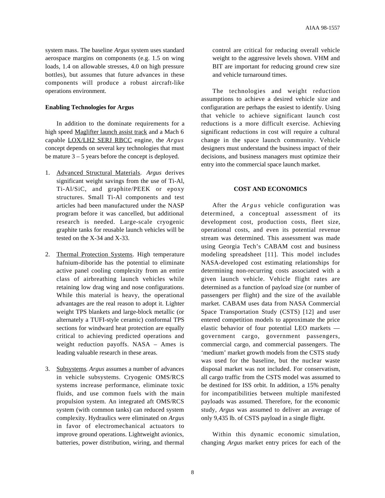system mass. The baseline *Argus* system uses standard aerospace margins on components (e.g. 1.5 on wing loads, 1.4 on allowable stresses, 4.0 on high pressure bottles), but assumes that future advances in these components will produce a robust aircraft-like operations environment.

## **Enabling Technologies for Argus**

In addition to the dominate requirements for a high speed Maglifter launch assist track and a Mach 6 capable LOX/LH2 SERJ RBCC engine, the *Argus* concept depends on several key technologies that must be mature 3 – 5 years before the concept is deployed.

- 1. Advanced Structural Materials. Argus derives significant weight savings from the use of Ti-Al, Ti-Al/SiC, and graphite/PEEK or epoxy structures. Small Ti-Al components and test articles had been manufactured under the NASP program before it was cancelled, but additional research is needed. Large-scale cryogenic graphite tanks for reusable launch vehicles will be tested on the X-34 and X-33.
- 2. Thermal Protection Systems. High temperature hafnium-diboride has the potential to eliminate active panel cooling complexity from an entire class of airbreathing launch vehicles while retaining low drag wing and nose configurations. While this material is heavy, the operational advantages are the real reason to adopt it. Lighter weight TPS blankets and large-block metallic (or alternately a TUFI-style ceramic) conformal TPS sections for windward heat protection are equally critical to achieving predicted operations and weight reduction payoffs. NASA – Ames is leading valuable research in these areas.
- 3. Subsystems . *Argus* assumes a number of advances in vehicle subsystems. Cryogenic OMS/RCS systems increase performance, eliminate toxic fluids, and use common fuels with the main propulsion system. An integrated aft OMS/RCS system (with common tanks) can reduced system complexity. Hydraulics were eliminated on *Argus* in favor of electromechanical actuators to improve ground operations. Lightweight avionics, batteries, power distribution, wiring, and thermal

control are critical for reducing overall vehicle weight to the aggressive levels shown. VHM and BIT are important for reducing ground crew size and vehicle turnaround times.

The technologies and weight reduction assumptions to achieve a desired vehicle size and configuration are perhaps the easiest to identify. Using that vehicle to achieve significant launch cost reductions is a more difficult exercise. Achieving significant reductions in cost will require a cultural change in the space launch community. Vehicle designers must understand the business impact of their decisions, and business managers must optimize their entry into the commercial space launch market.

#### **COST AND ECONOMICS**

After the *Argus* vehicle configuration was determined, a conceptual assessment of its development cost, production costs, fleet size, operational costs, and even its potential revenue stream was determined. This assessment was made using Georgia Tech's CABAM cost and business modeling spreadsheet [11]. This model includes NASA-developed cost estimating relationships for determining non-recurring costs associated with a given launch vehicle. Vehicle flight rates are determined as a function of payload size (or number of passengers per flight) and the size of the available market. CABAM uses data from NASA Commercial Space Transportation Study (CSTS) [12] and user entered competition models to approximate the price elastic behavior of four potential LEO markets government cargo, government passengers, commercial cargo, and commercial passengers. The 'medium' market growth models from the CSTS study was used for the baseline, but the nuclear waste disposal market was not included. For conservatism, all cargo traffic from the CSTS model was assumed to be destined for ISS orbit. In addition, a 15% penalty for incompatibilities between multiple manifested payloads was assumed. Therefore, for the economic study, *Argus* was assumed to deliver an average of only 9,435 lb. of CSTS payload in a single flight.

Within this dynamic economic simulation, changing *Argus* market entry prices for each of the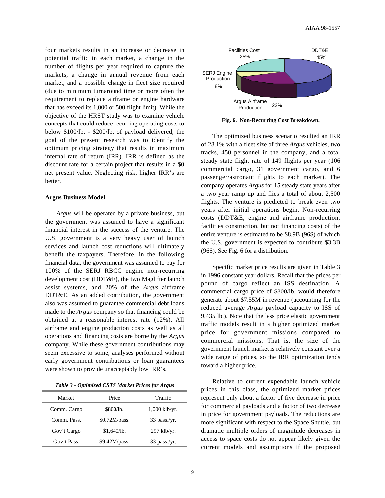four markets results in an increase or decrease in potential traffic in each market, a change in the number of flights per year required to capture the markets, a change in annual revenue from each market, and a possible change in fleet size required (due to minimum turnaround time or more often the requirement to replace airframe or engine hardware that has exceed its 1,000 or 500 flight limit). While the objective of the HRST study was to examine vehicle concepts that could reduce recurring operating costs to below \$100/lb. - \$200/lb. of payload delivered, the goal of the present research was to identify the optimum pricing strategy that results in maximum internal rate of return (IRR). IRR is defined as the discount rate for a certain project that results in a \$0 net present value. Neglecting risk, higher IRR's are better.

## **Argus Business Model**

*Argus* will be operated by a private business, but the government was assumed to have a significant financial interest in the success of the venture. The U.S. government is a very heavy user of launch services and launch cost reductions will ultimately benefit the taxpayers. Therefore, in the following financial data, the government was assumed to pay for 100% of the SERJ RBCC engine non-recurring development cost (DDT&E), the two Maglifter launch assist systems, and 20% of the *Argus* airframe DDT&E. As an added contribution, the government also was assumed to guarantee commercial debt loans made to the *Argus* company so that financing could be obtained at a reasonable interest rate (12%). All airframe and engine production costs as well as all operations and financing costs are borne by the *Argus* company. While these government contributions may seem excessive to some, analyses performed without early government contributions or loan guarantees were shown to provide unacceptably low IRR's.

*Table 3 - Optimized CSTS Market Prices for Argus*

| Market      | Price         | Traffic         |
|-------------|---------------|-----------------|
| Comm. Cargo | \$800/lb.     | $1,000$ klb/yr. |
| Comm. Pass. | \$0.72M/pass. | $33$ pass./yr.  |
| Gov't Cargo | \$1,640/b.    | $297$ klb/yr.   |
| Gov't Pass. | \$9.42M/pass. | $33$ pass./yr.  |



**Fig. 6. Non-Recurring Cost Breakdown.**

The optimized business scenario resulted an IRR of 28.1% with a fleet size of three *Argus* vehicles, two tracks, 450 personnel in the company, and a total steady state flight rate of 149 flights per year (106 commercial cargo, 31 government cargo, and 6 passenger/astronaut flights to each market). The company operates *Argus* for 15 steady state years after a two year ramp up and flies a total of about 2,500 flights. The venture is predicted to break even two years after initial operations begin. Non-recurring costs (DDT&E, engine and airframe production, facilities construction, but not financing costs) of the entire venture is estimated to be \$8.9B (96\$) of which the U.S. government is expected to contribute \$3.3B (96\$). See Fig. 6 for a distribution.

Specific market price results are given in Table 3 in 1996 constant year dollars. Recall that the prices per pound of cargo reflect an ISS destination. A commercial cargo price of \$800/lb. would therefore generate about \$7.55M in revenue (accounting for the reduced average *Argus* payload capacity to ISS of 9,435 lb.). Note that the less price elastic government traffic models result in a higher optimized market price for government missions compared to commercial missions. That is, the size of the government launch market is relatively constant over a wide range of prices, so the IRR optimization tends toward a higher price.

Relative to current expendable launch vehicle prices in this class, the optimized market prices represent only about a factor of five decrease in price for commercial payloads and a factor of two decrease in price for government payloads. The reductions are more significant with respect to the Space Shuttle, but dramatic multiple orders of magnitude decreases in access to space costs do not appear likely given the current models and assumptions if the proposed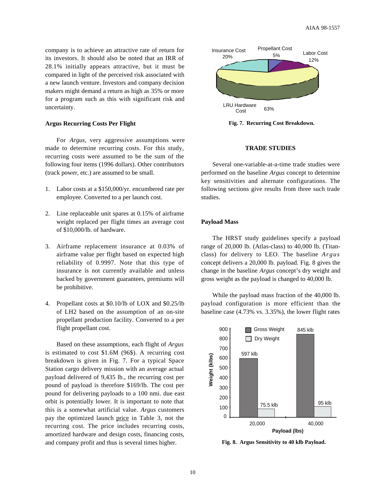company is to achieve an attractive rate of return for its investors. It should also be noted that an IRR of 28.1% initially appears attractive, but it must be compared in light of the perceived risk associated with a new launch venture. Investors and company decision makers might demand a return as high as 35% or more for a program such as this with significant risk and uncertainty.

## **Argus Recurring Costs Per Flight**

For *Argus*, very aggressive assumptions were made to determine recurring costs. For this study, recurring costs were assumed to be the sum of the following four items (1996 dollars). Other contributors (track power, etc.) are assumed to be small.

- 1. Labor costs at a \$150,000/yr. encumbered rate per employee. Converted to a per launch cost.
- 2. Line replaceable unit spares at 0.15% of airframe weight replaced per flight times an average cost of \$10,000/lb. of hardware.
- 3. Airframe replacement insurance at 0.03% of airframe value per flight based on expected high reliability of 0.9997. Note that this type of insurance is not currently available and unless backed by government guarantees, premiums will be prohibitive.
- 4. Propellant costs at \$0.10/lb of LOX and \$0.25/lb of LH2 based on the assumption of an on-site propellant production facility. Converted to a per flight propellant cost.

Based on these assumptions, each flight of *Argus* is estimated to cost \$1.6M (96\$). A recurring cost breakdown is given in Fig. 7. For a typical Space Station cargo delivery mission with an average actual payload delivered of 9,435 lb., the recurring cost per pound of payload is therefore \$169/lb. The cost per pound for delivering payloads to a 100 nmi. due east orbit is potentially lower. It is important to note that this is a somewhat artificial value. *Argus* customers pay the optimized launch price in Table 3, not the recurring cost. The price includes recurring costs, amortized hardware and design costs, financing costs, and company profit and thus is several times higher.



**Fig. 7. Recurring Cost Breakdown.**

## **TRADE STUDIES**

Several one-variable-at-a-time trade studies were performed on the baseline *Argus* concept to determine key sensitivities and alternate configurations. The following sections give results from three such trade studies.

#### **Payload Mass**

The HRST study guidelines specify a payload range of 20,000 lb. (Atlas-class) to 40,000 lb. (Titanclass) for delivery to LEO. The baseline *Argus* concept delivers a 20,000 lb. payload. Fig. 8 gives the change in the baseline *Argus* concept's dry weight and gross weight as the payload is changed to 40,000 lb.

While the payload mass fraction of the 40,000 lb. payload configuration is more efficient than the baseline case (4.73% vs. 3.35%), the lower flight rates



**Fig. 8. Argus Sensitivity to 40 klb Payload.**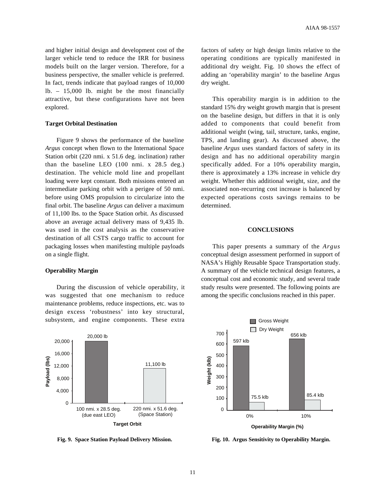and higher initial design and development cost of the larger vehicle tend to reduce the IRR for business models built on the larger version. Therefore, for a business perspective, the smaller vehicle is preferred. In fact, trends indicate that payload ranges of 10,000 lb. – 15,000 lb. might be the most financially attractive, but these configurations have not been explored.

## **Target Orbital Destination**

Figure 9 shows the performance of the baseline *Argus* concept when flown to the International Space Station orbit (220 nmi. x 51.6 deg. inclination) rather than the baseline LEO (100 nmi. x 28.5 deg.) destination. The vehicle mold line and propellant loading were kept constant. Both missions entered an intermediate parking orbit with a perigee of 50 nmi. before using OMS propulsion to circularize into the final orbit. The baseline *Argus* can deliver a maximum of 11,100 lbs. to the Space Station orbit. As discussed above an average actual delivery mass of 9,435 lb. was used in the cost analysis as the conservative destination of all CSTS cargo traffic to account for packaging losses when manifesting multiple payloads on a single flight.

## **Operability Margin**

During the discussion of vehicle operability, it was suggested that one mechanism to reduce maintenance problems, reduce inspections, etc. was to design excess 'robustness' into key structural, subsystem, and engine components. These extra



**Fig. 9. Space Station Payload Delivery Mission.**

factors of safety or high design limits relative to the operating conditions are typically manifested in additional dry weight. Fig. 10 shows the effect of adding an 'operability margin' to the baseline Argus dry weight.

This operability margin is in addition to the standard 15% dry weight growth margin that is present on the baseline design, but differs in that it is only added to components that could benefit from additional weight (wing, tail, structure, tanks, engine, TPS, and landing gear). As discussed above, the baseline *Argus* uses standard factors of safety in its design and has no additional operability margin specifically added. For a 10% operability margin, there is approximately a 13% increase in vehicle dry weight. Whether this additional weight, size, and the associated non-recurring cost increase is balanced by expected operations costs savings remains to be determined.

#### **CONCLUSIONS**

This paper presents a summary of the *Argus* conceptual design assessment performed in support of NASA's Highly Reusable Space Transportation study. A summary of the vehicle technical design features, a conceptual cost and economic study, and several trade study results were presented. The following points are among the specific conclusions reached in this paper.



**Fig. 10. Argus Sensitivity to Operability Margin.**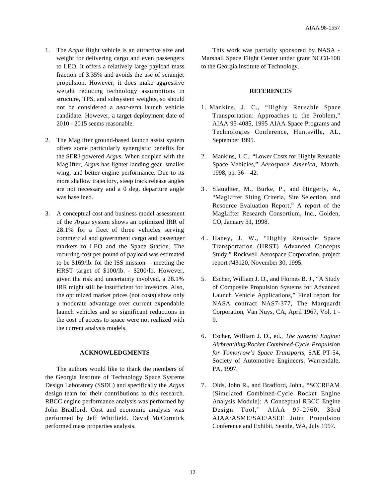- 1. The *Argus* flight vehicle is an attractive size and weight for delivering cargo and even passengers to LEO. It offers a relatively large payload mass fraction of 3.35% and avoids the use of scramjet propulsion. However, it does make aggressive weight reducing technology assumptions in structure, TPS, and subsystem weights, so should not be considered a *near-term* launch vehicle candidate. However, a target deployment date of 2010 - 2015 seems reasonable.
- 2. The Maglifter ground-based launch assist system offers some particularly synergistic benefits for the SERJ-powered *Argus*. When coupled with the Maglifter, *Argus* has lighter landing gear, smaller wing, and better engine performance. Due to its more shallow trajectory, steep track release angles are not necessary and a 0 deg. departure angle was baselined.
- 3. A conceptual cost and business model assessment of the *Argus* system shows an optimized IRR of 28.1% for a fleet of three vehicles serving commercial and government cargo and passenger markets to LEO and the Space Station. The recurring cost per pound of payload was estimated to be \$169/lb. for the ISS mission— meeting the HRST target of \$100/lb. - \$200/lb. However, given the risk and uncertainty involved, a 28.1% IRR might still be insufficient for investors. Also, the optimized market prices (not costs) show only a moderate advantage over current expendable launch vehicles and so significant reductions in the cost of access to space were not realized with the current analysis models.

# **ACKNOWLEDGMENTS**

The authors would like to thank the members of the Georgia Institute of Technology Space Systems Design Laboratory (SSDL) and specifically the *Argus* design team for their contributions to this research. RBCC engine performance analysis was performed by John Bradford. Cost and economic analysis was performed by Jeff Whitfield. David McCormick performed mass properties analysis.

This work was partially sponsored by NASA - Marshall Space Flight Center under grant NCC8-108 to the Georgia Institute of Technology.

#### **REFERENCES**

- 1. Mankins, J. C., "Highly Reusable Space Transportation: Approaches to the Problem," AIAA 95-4085, 1995 AIAA Space Programs and Technologies Conference, Huntsville, AL, September 1995.
- 2. Mankins, J. C., "Lower Costs for Highly Reusable Space Vehicles," *Aerospace America*, March, 1998, pp. 36 – 42.
- 3 . Slaughter, M., Burke, P., and Hingerty, A., "MagLifter Siting Criteria, Site Selection, and Resource Evaluation Report," A report of the MagLifter Research Consortium, Inc., Golden, CO, January 31, 1998.
- 4 . Haney, J. W., "Highly Reusable Space Transportation (HRST) Advanced Concepts Study," Rockwell Aerospace Corporation, project report #43120, November 30, 1995.
- 5. Escher, William J. D., and Flornes B. J., "A Study of Composite Propulsion Systems for Advanced Launch Vehicle Applications," Final report for NASA contract NAS7-377, The Marquardt Corporation, Van Nuys, CA, April 1967, Vol. 1 - 9.
- 6. Escher, William J. D., ed., *The Synerjet Engine: Airbreathing/Rocket Combined-Cycle Propulsion for Tomorrow's Space Transports*, SAE PT-54, Society of Automotive Engineers, Warrendale, PA, 1997.
- 7. Olds, John R., and Bradford, John., "SCCREAM (Simulated Combined-Cycle Rocket Engine Analysis Module): A Conceptual RBCC Engine Design Tool," AIAA 97-2760, 33rd AIAA/ASME/SAE/ASEE Joint Propulsion Conference and Exhibit, Seattle, WA, July 1997.